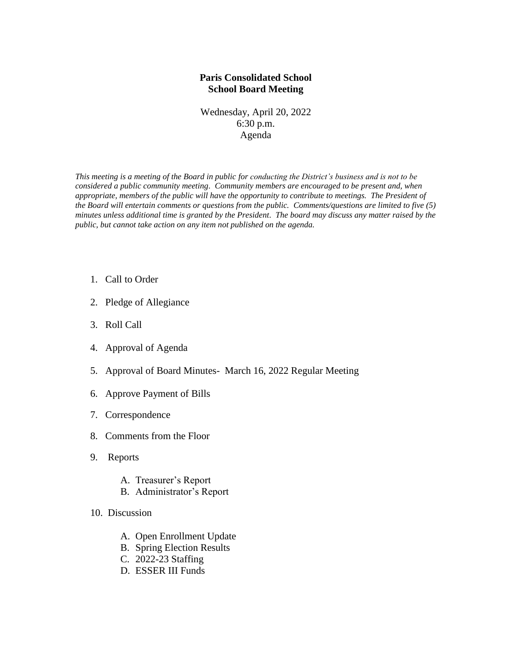## **Paris Consolidated School School Board Meeting**

Wednesday, April 20, 2022 6:30 p.m. Agenda

*This meeting is a meeting of the Board in public for conducting the District's business and is not to be considered a public community meeting. Community members are encouraged to be present and, when appropriate, members of the public will have the opportunity to contribute to meetings. The President of the Board will entertain comments or questions from the public. Comments/questions are limited to five (5) minutes unless additional time is granted by the President. The board may discuss any matter raised by the public, but cannot take action on any item not published on the agenda.*

- 1. Call to Order
- 2. Pledge of Allegiance
- 3. Roll Call
- 4. Approval of Agenda
- 5. Approval of Board Minutes- March 16, 2022 Regular Meeting
- 6. Approve Payment of Bills
- 7. Correspondence
- 8. Comments from the Floor
- 9. Reports
	- A. Treasurer's Report
	- B. Administrator's Report
- 10. Discussion
	- A. Open Enrollment Update
	- B. Spring Election Results
	- C. 2022-23 Staffing
	- D. ESSER III Funds